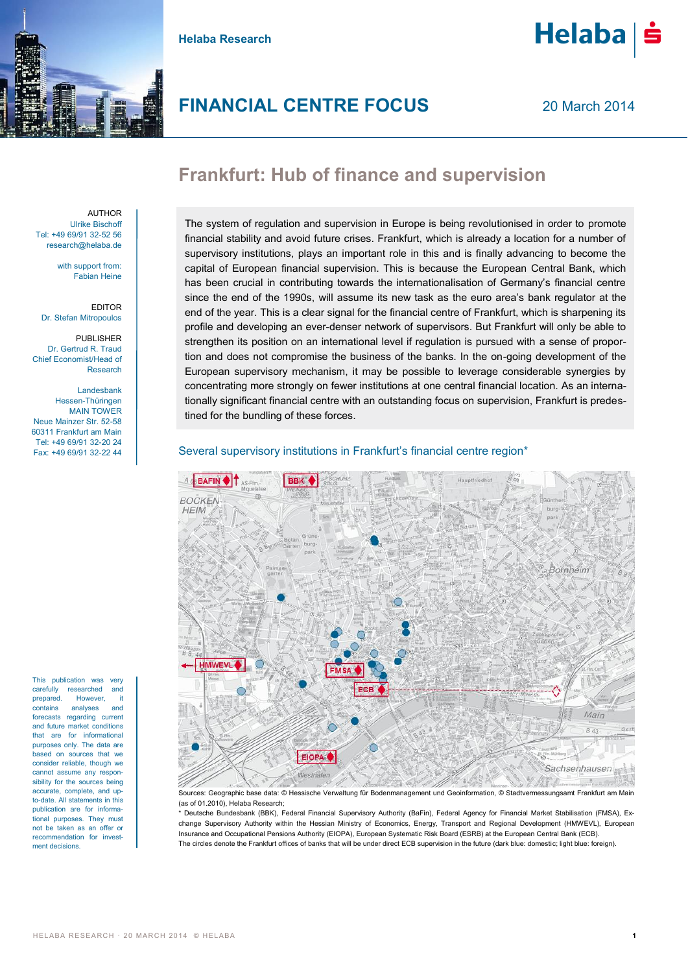

**Helaba Research**



**Helaba** 

20 March 2014

# **Frankfurt: Hub of finance and supervision**

AUTHOR Ulrike Bischoff Tel: +49 69/91 32-52 56 research@helaba.de

> with support from: Fabian Heine

EDITOR Dr. Stefan Mitropoulos

PUBLISHER Dr. Gertrud R. Traud Chief Economist/Head of Research

Landesbank Hessen-Thüringen MAIN TOWER Neue Mainzer Str. 52-58 60311 Frankfurt am Main Tel: +49 69/91 32-20 24 Fax: +49 69/91 32-22 44

This publication was very carefully researched and prepared. However, it contains analyses and forecasts regarding current and future market conditions that are for informational purposes only. The data are based on sources that we consider reliable, though we cannot assume any responsibility for the sources being accurate, complete, and upto-date. All statements in this publication are for informational purposes. They must not be taken as an offer or recommendation for investment decisions.

The system of regulation and supervision in Europe is being revolutionised in order to promote financial stability and avoid future crises. Frankfurt, which is already a location for a number of supervisory institutions, plays an important role in this and is finally advancing to become the capital of European financial supervision. This is because the European Central Bank, which has been crucial in contributing towards the internationalisation of Germany's financial centre since the end of the 1990s, will assume its new task as the euro area's bank regulator at the end of the year. This is a clear signal for the financial centre of Frankfurt, which is sharpening its profile and developing an ever-denser network of supervisors. But Frankfurt will only be able to strengthen its position on an international level if regulation is pursued with a sense of proportion and does not compromise the business of the banks. In the on-going development of the European supervisory mechanism, it may be possible to leverage considerable synergies by concentrating more strongly on fewer institutions at one central financial location. As an internationally significant financial centre with an outstanding focus on supervision, Frankfurt is predestined for the bundling of these forces.

# Several supervisory institutions in Frankfurt's financial centre region\*



Sources: Geographic base data: © Hessische Verwaltung für Bodenmanagement und Geoinformation, © Stadtvermessungsamt Frankfurt am Main (as of 01.2010), Helaba Research;

\* Deutsche Bundesbank (BBK), Federal Financial Supervisory Authority (BaFin), Federal Agency for Financial Market Stabilisation (FMSA), Exchange Supervisory Authority within the Hessian Ministry of Economics, Energy, Transport and Regional Development (HMWEVL), European Insurance and Occupational Pensions Authority (EIOPA), European Systematic Risk Board (ESRB) at the European Central Bank (ECB). The circles denote the Frankfurt offices of banks that will be under direct ECB supervision in the future (dark blue: domestic; light blue: foreign).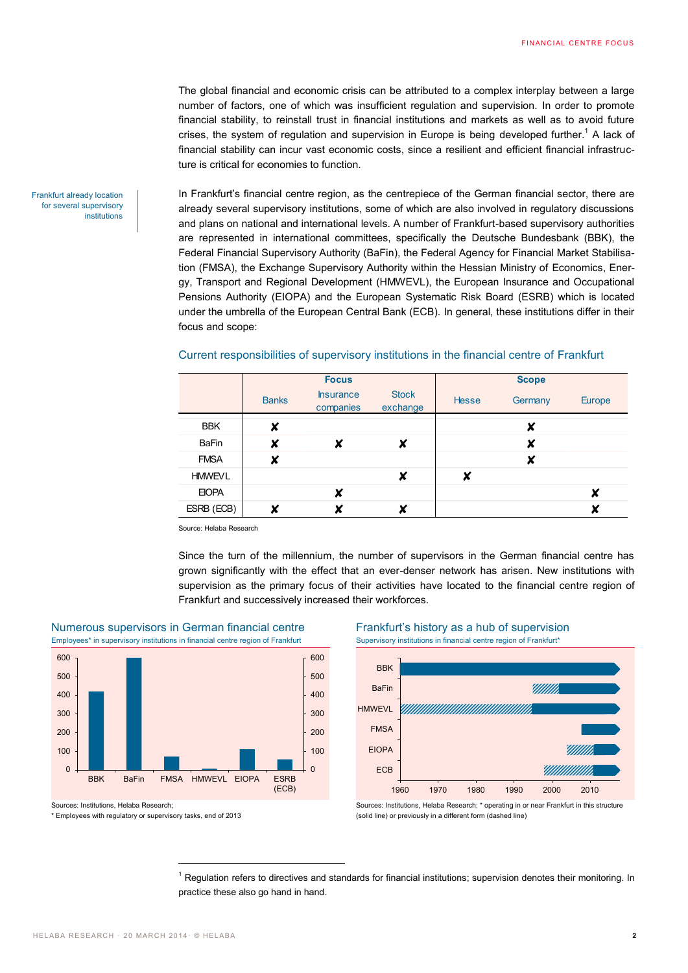The global financial and economic crisis can be attributed to a complex interplay between a large number of factors, one of which was insufficient regulation and supervision. In order to promote financial stability, to reinstall trust in financial institutions and markets as well as to avoid future crises, the system of regulation and supervision in Europe is being developed further.<sup>1</sup> A lack of financial stability can incur vast economic costs, since a resilient and efficient financial infrastructure is critical for economies to function.

In Frankfurt's financial centre region, as the centrepiece of the German financial sector, there are already several supervisory institutions, some of which are also involved in regulatory discussions and plans on national and international levels. A number of Frankfurt-based supervisory authorities are represented in international committees, specifically the Deutsche Bundesbank (BBK), the Federal Financial Supervisory Authority (BaFin), the Federal Agency for Financial Market Stabilisation (FMSA), the Exchange Supervisory Authority within the Hessian Ministry of Economics, Energy, Transport and Regional Development (HMWEVL), the European Insurance and Occupational Pensions Authority (EIOPA) and the European Systematic Risk Board (ESRB) which is located under the umbrella of the European Central Bank (ECB). In general, these institutions differ in their focus and scope:

## Current responsibilities of supervisory institutions in the financial centre of Frankfurt

|               | <b>Focus</b> |                               |                          | <b>Scope</b> |         |               |
|---------------|--------------|-------------------------------|--------------------------|--------------|---------|---------------|
|               | <b>Banks</b> | <b>Insurance</b><br>companies | <b>Stock</b><br>exchange | <b>Hesse</b> | Germany | <b>Europe</b> |
| <b>BBK</b>    | X            |                               |                          |              | X       |               |
| <b>BaFin</b>  | X            | X                             | X                        |              | X       |               |
| <b>FMSA</b>   | X            |                               |                          |              | X       |               |
| <b>HMWEVL</b> |              |                               | X                        | ×            |         |               |
| <b>EIOPA</b>  |              | X                             |                          |              |         | X             |
| ESRB (ECB)    |              |                               | v                        |              |         |               |

Source: Helaba Research

Since the turn of the millennium, the number of supervisors in the German financial centre has grown significantly with the effect that an ever-denser network has arisen. New institutions with supervision as the primary focus of their activities have located to the financial centre region of Frankfurt and successively increased their workforces.



 $\overline{a}$ 

Numerous supervisors in German financial centre<br>
Emplovees<sup>\*</sup> in supervisory institutions in financial centre region of Frankfurt<br>
Supervisory institutions in financial centre region of Frankfurt<br>
Supervisory institutions Employees\* in supervisory institutions in financial centre region of Frankfurt

Sources: Institutions, Helaba Research;

\* Employees with regulatory or supervisory tasks, end of 2013



(solid line) or previously in a different form (dashed line)

 $1$  Regulation refers to directives and standards for financial institutions; supervision denotes their monitoring. In practice these also go hand in hand.

Frankfurt already location for several supervisory institutions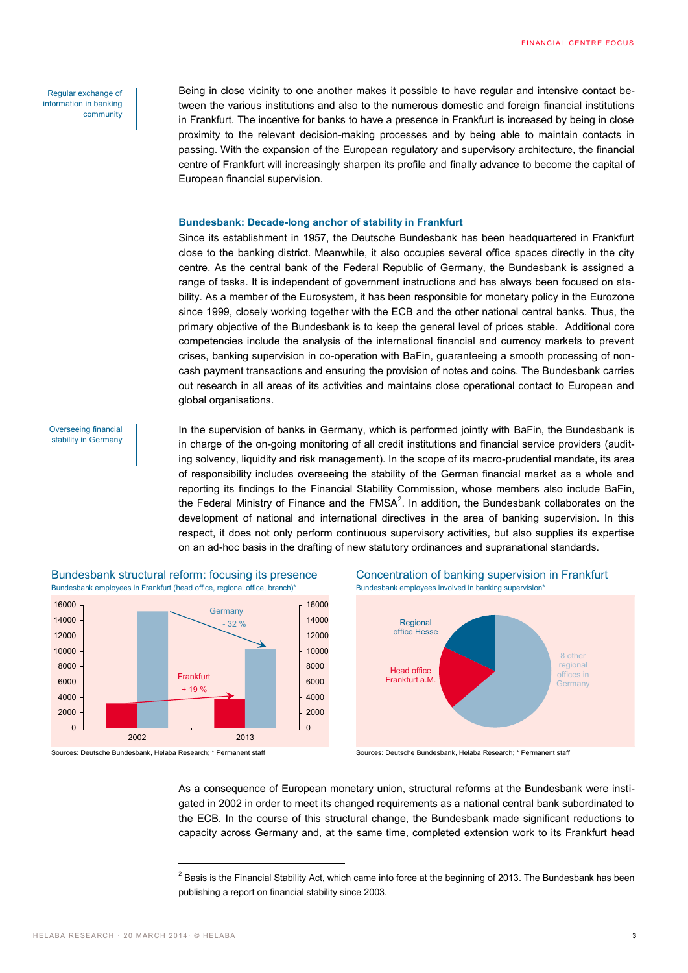Regular exchange of information in banking community

Being in close vicinity to one another makes it possible to have regular and intensive contact between the various institutions and also to the numerous domestic and foreign financial institutions in Frankfurt. The incentive for banks to have a presence in Frankfurt is increased by being in close proximity to the relevant decision-making processes and by being able to maintain contacts in passing. With the expansion of the European regulatory and supervisory architecture, the financial centre of Frankfurt will increasingly sharpen its profile and finally advance to become the capital of European financial supervision.

### **Bundesbank: Decade-long anchor of stability in Frankfurt**

Since its establishment in 1957, the Deutsche Bundesbank has been headquartered in Frankfurt close to the banking district. Meanwhile, it also occupies several office spaces directly in the city centre. As the central bank of the Federal Republic of Germany, the Bundesbank is assigned a range of tasks. It is independent of government instructions and has always been focused on stability. As a member of the Eurosystem, it has been responsible for monetary policy in the Eurozone since 1999, closely working together with the ECB and the other national central banks. Thus, the primary objective of the Bundesbank is to keep the general level of prices stable. Additional core competencies include the analysis of the international financial and currency markets to prevent crises, banking supervision in co-operation with BaFin, guaranteeing a smooth processing of noncash payment transactions and ensuring the provision of notes and coins. The Bundesbank carries out research in all areas of its activities and maintains close operational contact to European and global organisations.

Overseeing financial stability in Germany In the supervision of banks in Germany, which is performed jointly with BaFin, the Bundesbank is in charge of the on-going monitoring of all credit institutions and financial service providers (auditing solvency, liquidity and risk management). In the scope of its macro-prudential mandate, its area of responsibility includes overseeing the stability of the German financial market as a whole and reporting its findings to the Financial Stability Commission, whose members also include BaFin, the Federal Ministry of Finance and the FMSA<sup>2</sup>. In addition, the Bundesbank collaborates on the development of national and international directives in the area of banking supervision. In this respect, it does not only perform continuous supervisory activities, but also supplies its expertise on an ad-hoc basis in the drafting of new statutory ordinances and supranational standards.







Sources: Deutsche Bundesbank, Helaba Research; \* Permanent staff Sources: Deutsche Bundesbank, Helaba Research; \* Permanent staff

 $\overline{a}$ 



As a consequence of European monetary union, structural reforms at the Bundesbank were instigated in 2002 in order to meet its changed requirements as a national central bank subordinated to the ECB. In the course of this structural change, the Bundesbank made significant reductions to capacity across Germany and, at the same time, completed extension work to its Frankfurt head

 $^{2}$  Basis is the Financial Stability Act, which came into force at the beginning of 2013. The Bundesbank has been publishing a report on financial stability since 2003.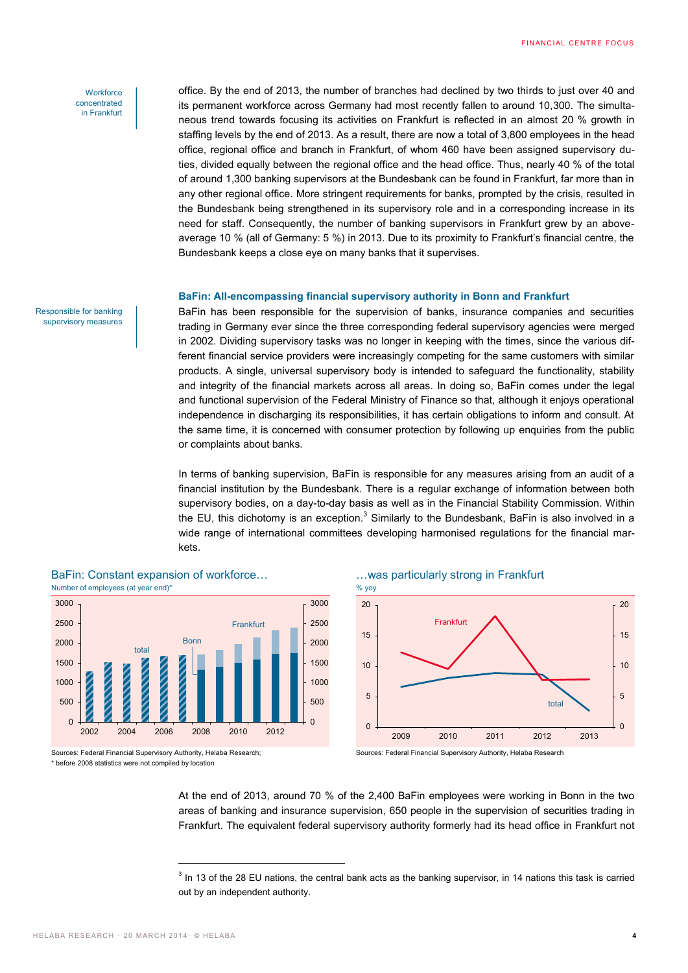### **Workforce** concentrated in Frankfurt

Responsible for banking supervisory measures

office. By the end of 2013, the number of branches had declined by two thirds to just over 40 and its permanent workforce across Germany had most recently fallen to around 10,300. The simultaneous trend towards focusing its activities on Frankfurt is reflected in an almost 20 % growth in staffing levels by the end of 2013. As a result, there are now a total of 3,800 employees in the head office, regional office and branch in Frankfurt, of whom 460 have been assigned supervisory duties, divided equally between the regional office and the head office. Thus, nearly 40 % of the total of around 1,300 banking supervisors at the Bundesbank can be found in Frankfurt, far more than in any other regional office. More stringent requirements for banks, prompted by the crisis, resulted in the Bundesbank being strengthened in its supervisory role and in a corresponding increase in its need for staff. Consequently, the number of banking supervisors in Frankfurt grew by an aboveaverage 10 % (all of Germany: 5 %) in 2013. Due to its proximity to Frankfurt's financial centre, the Bundesbank keeps a close eye on many banks that it supervises.

# **BaFin: All-encompassing financial supervisory authority in Bonn and Frankfurt**

BaFin has been responsible for the supervision of banks, insurance companies and securities trading in Germany ever since the three corresponding federal supervisory agencies were merged in 2002. Dividing supervisory tasks was no longer in keeping with the times, since the various different financial service providers were increasingly competing for the same customers with similar products. A single, universal supervisory body is intended to safeguard the functionality, stability and integrity of the financial markets across all areas. In doing so, BaFin comes under the legal and functional supervision of the Federal Ministry of Finance so that, although it enjoys operational independence in discharging its responsibilities, it has certain obligations to inform and consult. At the same time, it is concerned with consumer protection by following up enquiries from the public or complaints about banks.

In terms of banking supervision, BaFin is responsible for any measures arising from an audit of a financial institution by the Bundesbank. There is a regular exchange of information between both supervisory bodies, on a day-to-day basis as well as in the Financial Stability Commission. Within the EU, this dichotomy is an exception. $^3$  Similarly to the Bundesbank, BaFin is also involved in a wide range of international committees developing harmonised regulations for the financial markets.



Sources: Federal Financial Supervisory Authority, Helaba Research;

 $\overline{a}$ 

\* before 2008 statistics were not compiled by location

BaFin: Constant expansion of workforce... **Example: 2018** ... was particularly strong in Frankfurt



Sources: Federal Financial Supervisory Authority, Helaba Research

At the end of 2013, around 70 % of the 2,400 BaFin employees were working in Bonn in the two areas of banking and insurance supervision, 650 people in the supervision of securities trading in Frankfurt. The equivalent federal supervisory authority formerly had its head office in Frankfurt not

 $3$  In 13 of the 28 EU nations, the central bank acts as the banking supervisor, in 14 nations this task is carried out by an independent authority.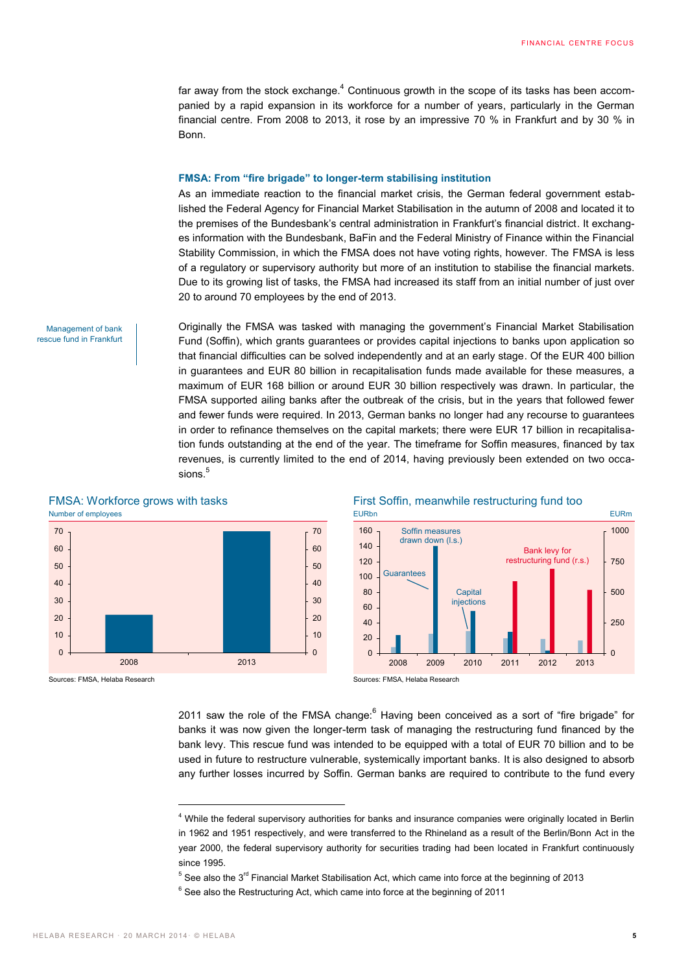far away from the stock exchange. $4$  Continuous growth in the scope of its tasks has been accompanied by a rapid expansion in its workforce for a number of years, particularly in the German financial centre. From 2008 to 2013, it rose by an impressive 70 % in Frankfurt and by 30 % in Bonn.

### **FMSA: From "fire brigade" to longer-term stabilising institution**

As an immediate reaction to the financial market crisis, the German federal government established the Federal Agency for Financial Market Stabilisation in the autumn of 2008 and located it to the premises of the Bundesbank's central administration in Frankfurt's financial district. It exchanges information with the Bundesbank, BaFin and the Federal Ministry of Finance within the Financial Stability Commission, in which the FMSA does not have voting rights, however. The FMSA is less of a regulatory or supervisory authority but more of an institution to stabilise the financial markets. Due to its growing list of tasks, the FMSA had increased its staff from an initial number of just over 20 to around 70 employees by the end of 2013.

Management of bank rescue fund in Frankfurt Originally the FMSA was tasked with managing the government's Financial Market Stabilisation Fund (Soffin), which grants guarantees or provides capital injections to banks upon application so that financial difficulties can be solved independently and at an early stage. Of the EUR 400 billion in guarantees and EUR 80 billion in recapitalisation funds made available for these measures, a maximum of EUR 168 billion or around EUR 30 billion respectively was drawn. In particular, the FMSA supported ailing banks after the outbreak of the crisis, but in the years that followed fewer and fewer funds were required. In 2013, German banks no longer had any recourse to guarantees in order to refinance themselves on the capital markets; there were EUR 17 billion in recapitalisation funds outstanding at the end of the year. The timeframe for Soffin measures, financed by tax revenues, is currently limited to the end of 2014, having previously been extended on two occasions.<sup>5</sup>





 $\overline{a}$ 





Sources: FMSA, Helaba Research Sources: FMSA, Helaba Research

2011 saw the role of the FMSA change: $6$  Having been conceived as a sort of "fire brigade" for banks it was now given the longer-term task of managing the restructuring fund financed by the bank levy. This rescue fund was intended to be equipped with a total of EUR 70 billion and to be used in future to restructure vulnerable, systemically important banks. It is also designed to absorb any further losses incurred by Soffin. German banks are required to contribute to the fund every

<sup>4</sup> While the federal supervisory authorities for banks and insurance companies were originally located in Berlin in 1962 and 1951 respectively, and were transferred to the Rhineland as a result of the Berlin/Bonn Act in the year 2000, the federal supervisory authority for securities trading had been located in Frankfurt continuously since 1995.

 $5$  See also the 3<sup>rd</sup> Financial Market Stabilisation Act, which came into force at the beginning of 2013

 $6$  See also the Restructuring Act, which came into force at the beginning of 2011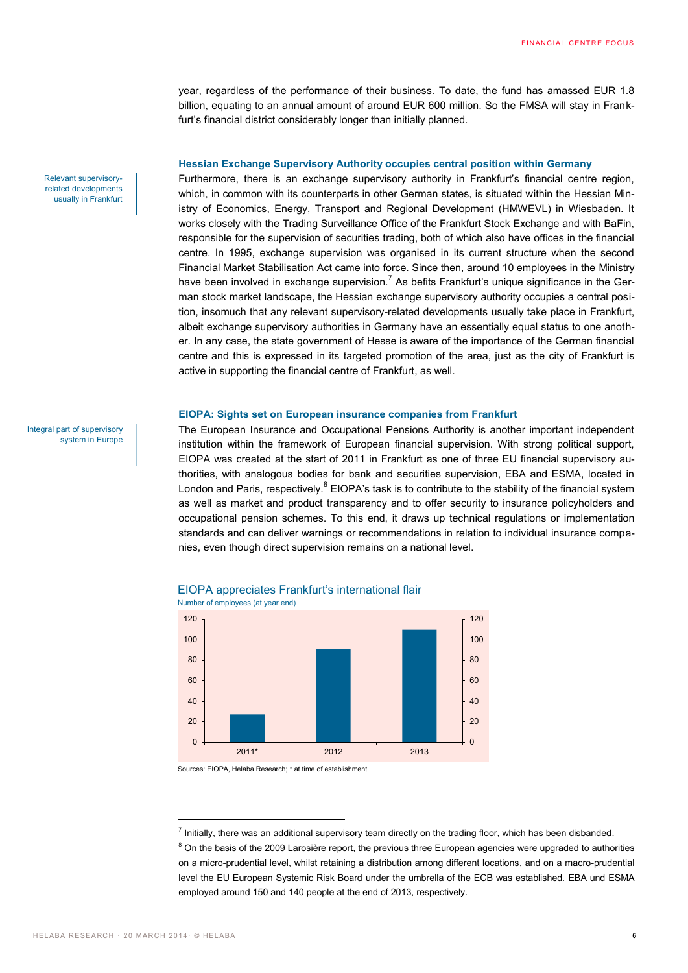year, regardless of the performance of their business. To date, the fund has amassed EUR 1.8 billion, equating to an annual amount of around EUR 600 million. So the FMSA will stay in Frankfurt's financial district considerably longer than initially planned.

### **Hessian Exchange Supervisory Authority occupies central position within Germany**

Furthermore, there is an exchange supervisory authority in Frankfurt's financial centre region, which, in common with its counterparts in other German states, is situated within the Hessian Ministry of Economics, Energy, Transport and Regional Development (HMWEVL) in Wiesbaden. It works closely with the Trading Surveillance Office of the Frankfurt Stock Exchange and with BaFin, responsible for the supervision of securities trading, both of which also have offices in the financial centre. In 1995, exchange supervision was organised in its current structure when the second Financial Market Stabilisation Act came into force. Since then, around 10 employees in the Ministry have been involved in exchange supervision.<sup>7</sup> As befits Frankfurt's unique significance in the German stock market landscape, the Hessian exchange supervisory authority occupies a central position, insomuch that any relevant supervisory-related developments usually take place in Frankfurt, albeit exchange supervisory authorities in Germany have an essentially equal status to one another. In any case, the state government of Hesse is aware of the importance of the German financial centre and this is expressed in its targeted promotion of the area, just as the city of Frankfurt is active in supporting the financial centre of Frankfurt, as well.

### **EIOPA: Sights set on European insurance companies from Frankfurt**

The European Insurance and Occupational Pensions Authority is another important independent institution within the framework of European financial supervision. With strong political support, EIOPA was created at the start of 2011 in Frankfurt as one of three EU financial supervisory authorities, with analogous bodies for bank and securities supervision, EBA and ESMA, located in London and Paris, respectively.<sup>8</sup> EIOPA's task is to contribute to the stability of the financial system as well as market and product transparency and to offer security to insurance policyholders and occupational pension schemes. To this end, it draws up technical regulations or implementation standards and can deliver warnings or recommendations in relation to individual insurance companies, even though direct supervision remains on a national level.



### EIOPA appreciates Frankfurt's international flair Number of employees (at year end)

Sources: EIOPA, Helaba Research; \* at time of establishment

Relevant supervisoryrelated developments usually in Frankfurt

Integral part of supervisory system in Europe

 $\overline{a}$ 

<sup>&</sup>lt;sup>7</sup> Initially, there was an additional supervisory team directly on the trading floor, which has been disbanded.

 $8$  On the basis of the 2009 Larosière report, the previous three European agencies were upgraded to authorities on a micro-prudential level, whilst retaining a distribution among different locations, and on a macro-prudential level the EU European Systemic Risk Board under the umbrella of the ECB was established. EBA und ESMA employed around 150 and 140 people at the end of 2013, respectively.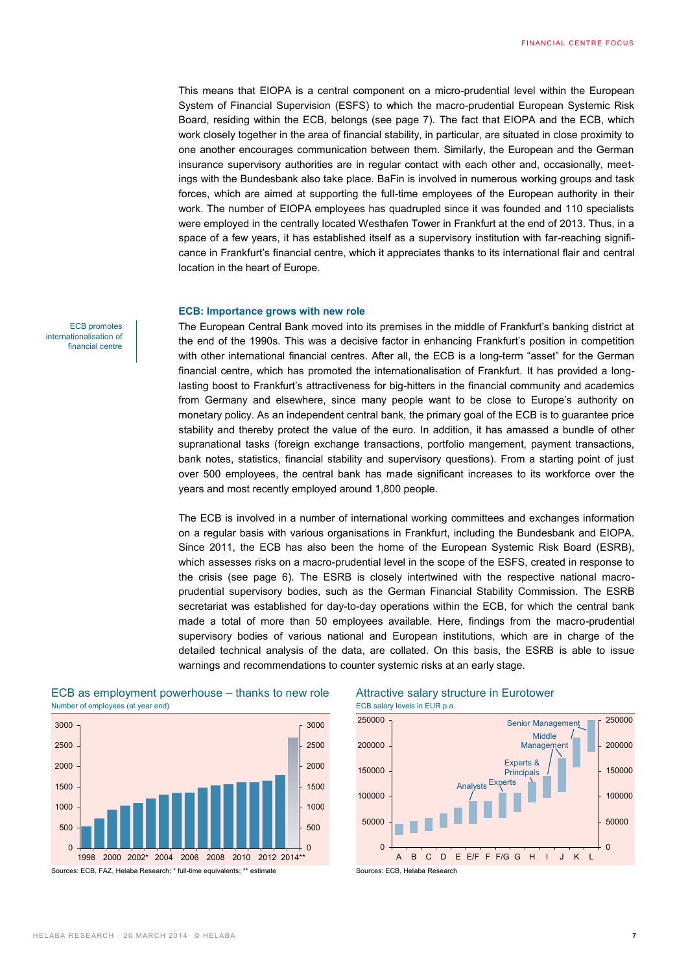This means that EIOPA is a central component on a micro-prudential level within the European System of Financial Supervision (ESFS) to which the macro-prudential European Systemic Risk Board, residing within the ECB, belongs (see page 7). The fact that EIOPA and the ECB, which work closely together in the area of financial stability, in particular, are situated in close proximity to one another encourages communication between them. Similarly, the European and the German insurance supervisory authorities are in regular contact with each other and, occasionally, meetings with the Bundesbank also take place. BaFin is involved in numerous working groups and task forces, which are aimed at supporting the full-time employees of the European authority in their work. The number of EIOPA employees has quadrupled since it was founded and 110 specialists were employed in the centrally located Westhafen Tower in Frankfurt at the end of 2013. Thus, in a space of a few years, it has established itself as a supervisory institution with far-reaching significance in Frankfurt's financial centre, which it appreciates thanks to its international flair and central location in the heart of Europe.

### **ECB: Importance grows with new role**

The European Central Bank moved into its premises in the middle of Frankfurt's banking district at the end of the 1990s. This was a decisive factor in enhancing Frankfurt's position in competition with other international financial centres. After all, the ECB is a long-term "asset" for the German financial centre, which has promoted the internationalisation of Frankfurt. It has provided a longlasting boost to Frankfurt's attractiveness for big-hitters in the financial community and academics from Germany and elsewhere, since many people want to be close to Europe's authority on monetary policy. As an independent central bank, the primary goal of the ECB is to guarantee price stability and thereby protect the value of the euro. In addition, it has amassed a bundle of other supranational tasks (foreign exchange transactions, portfolio mangement, payment transactions, bank notes, statistics, financial stability and supervisory questions). From a starting point of just over 500 employees, the central bank has made significant increases to its workforce over the years and most recently employed around 1,800 people.

The ECB is involved in a number of international working committees and exchanges information on a regular basis with various organisations in Frankfurt, including the Bundesbank and EIOPA. Since 2011, the ECB has also been the home of the European Systemic Risk Board (ESRB), which assesses risks on a macro-prudential level in the scope of the ESFS, created in response to the crisis (see page 6). The ESRB is closely intertwined with the respective national macroprudential supervisory bodies, such as the German Financial Stability Commission. The ESRB secretariat was established for day-to-day operations within the ECB, for which the central bank made a total of more than 50 employees available. Here, findings from the macro-prudential supervisory bodies of various national and European institutions, which are in charge of the detailed technical analysis of the data, are collated. On this basis, the ESRB is able to issue warnings and recommendations to counter systemic risks at an early stage.



### ECB as employment powerhouse – thanks to new role Attractive salary structure in Eurotower Number of employees (at year end) end of the salary levels in EUR p.a.



ECB promotes internationalisation of financial centre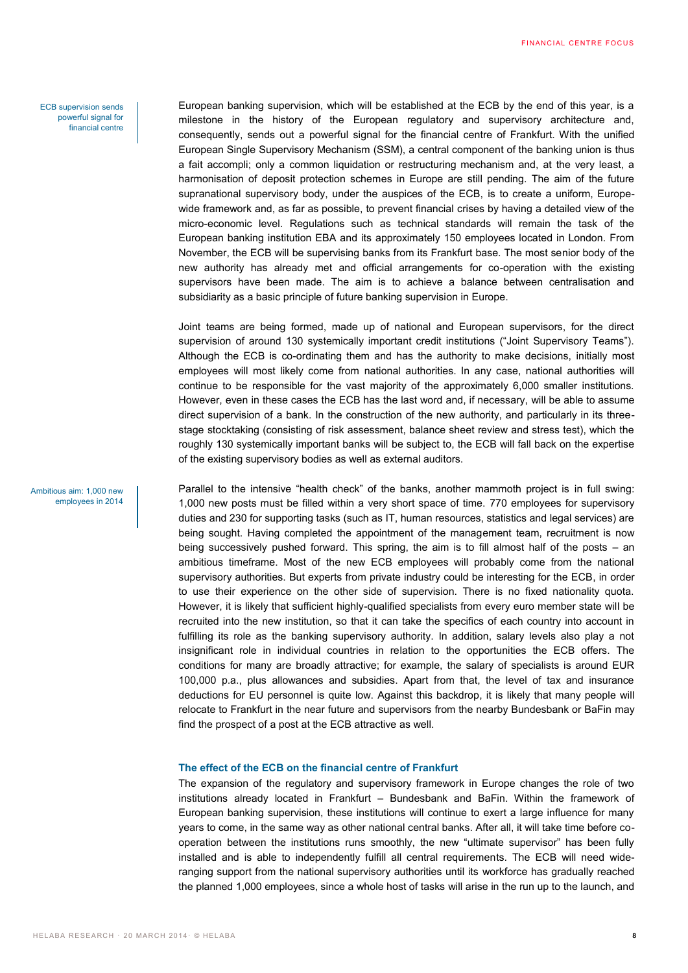ECB supervision sends powerful signal for financial centre European banking supervision, which will be established at the ECB by the end of this year, is a milestone in the history of the European regulatory and supervisory architecture and, consequently, sends out a powerful signal for the financial centre of Frankfurt. With the unified European Single Supervisory Mechanism (SSM), a central component of the banking union is thus a fait accompli; only a common liquidation or restructuring mechanism and, at the very least, a harmonisation of deposit protection schemes in Europe are still pending. The aim of the future supranational supervisory body, under the auspices of the ECB, is to create a uniform, Europewide framework and, as far as possible, to prevent financial crises by having a detailed view of the micro-economic level. Regulations such as technical standards will remain the task of the European banking institution EBA and its approximately 150 employees located in London. From November, the ECB will be supervising banks from its Frankfurt base. The most senior body of the new authority has already met and official arrangements for co-operation with the existing supervisors have been made. The aim is to achieve a balance between centralisation and subsidiarity as a basic principle of future banking supervision in Europe.

Joint teams are being formed, made up of national and European supervisors, for the direct supervision of around 130 systemically important credit institutions ("Joint Supervisory Teams"). Although the ECB is co-ordinating them and has the authority to make decisions, initially most employees will most likely come from national authorities. In any case, national authorities will continue to be responsible for the vast majority of the approximately 6,000 smaller institutions. However, even in these cases the ECB has the last word and, if necessary, will be able to assume direct supervision of a bank. In the construction of the new authority, and particularly in its threestage stocktaking (consisting of risk assessment, balance sheet review and stress test), which the roughly 130 systemically important banks will be subject to, the ECB will fall back on the expertise of the existing supervisory bodies as well as external auditors.

Parallel to the intensive "health check" of the banks, another mammoth project is in full swing: 1,000 new posts must be filled within a very short space of time. 770 employees for supervisory duties and 230 for supporting tasks (such as IT, human resources, statistics and legal services) are being sought. Having completed the appointment of the management team, recruitment is now being successively pushed forward. This spring, the aim is to fill almost half of the posts – an ambitious timeframe. Most of the new ECB employees will probably come from the national supervisory authorities. But experts from private industry could be interesting for the ECB, in order to use their experience on the other side of supervision. There is no fixed nationality quota. However, it is likely that sufficient highly-qualified specialists from every euro member state will be recruited into the new institution, so that it can take the specifics of each country into account in fulfilling its role as the banking supervisory authority. In addition, salary levels also play a not insignificant role in individual countries in relation to the opportunities the ECB offers. The conditions for many are broadly attractive; for example, the salary of specialists is around EUR 100,000 p.a., plus allowances and subsidies. Apart from that, the level of tax and insurance deductions for EU personnel is quite low. Against this backdrop, it is likely that many people will relocate to Frankfurt in the near future and supervisors from the nearby Bundesbank or BaFin may find the prospect of a post at the ECB attractive as well.

### **The effect of the ECB on the financial centre of Frankfurt**

The expansion of the regulatory and supervisory framework in Europe changes the role of two institutions already located in Frankfurt – Bundesbank and BaFin. Within the framework of European banking supervision, these institutions will continue to exert a large influence for many years to come, in the same way as other national central banks. After all, it will take time before cooperation between the institutions runs smoothly, the new "ultimate supervisor" has been fully installed and is able to independently fulfill all central requirements. The ECB will need wideranging support from the national supervisory authorities until its workforce has gradually reached the planned 1,000 employees, since a whole host of tasks will arise in the run up to the launch, and

Ambitious aim: 1,000 new employees in 2014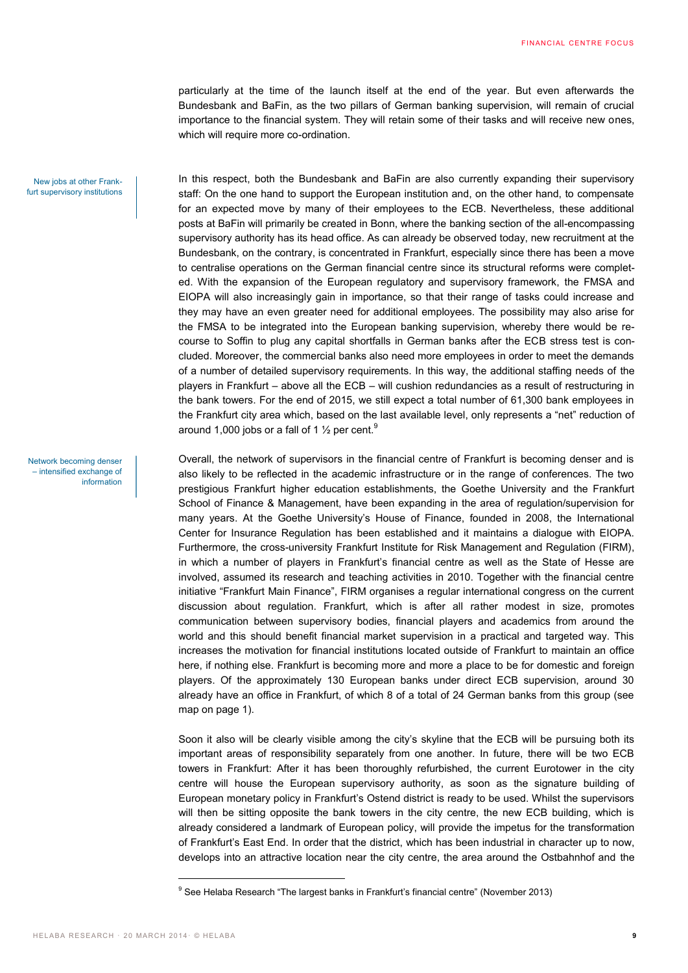particularly at the time of the launch itself at the end of the year. But even afterwards the Bundesbank and BaFin, as the two pillars of German banking supervision, will remain of crucial importance to the financial system. They will retain some of their tasks and will receive new ones, which will require more co-ordination.

New jobs at other Frankfurt supervisory institutions

Network becoming denser – intensified exchange of information

In this respect, both the Bundesbank and BaFin are also currently expanding their supervisory staff: On the one hand to support the European institution and, on the other hand, to compensate for an expected move by many of their employees to the ECB. Nevertheless, these additional posts at BaFin will primarily be created in Bonn, where the banking section of the all-encompassing supervisory authority has its head office. As can already be observed today, new recruitment at the Bundesbank, on the contrary, is concentrated in Frankfurt, especially since there has been a move to centralise operations on the German financial centre since its structural reforms were completed. With the expansion of the European regulatory and supervisory framework, the FMSA and EIOPA will also increasingly gain in importance, so that their range of tasks could increase and they may have an even greater need for additional employees. The possibility may also arise for the FMSA to be integrated into the European banking supervision, whereby there would be recourse to Soffin to plug any capital shortfalls in German banks after the ECB stress test is concluded. Moreover, the commercial banks also need more employees in order to meet the demands of a number of detailed supervisory requirements. In this way, the additional staffing needs of the players in Frankfurt – above all the ECB – will cushion redundancies as a result of restructuring in the bank towers. For the end of 2015, we still expect a total number of 61,300 bank employees in the Frankfurt city area which, based on the last available level, only represents a "net" reduction of around 1,000 jobs or a fall of 1  $\frac{1}{2}$  per cent.<sup>9</sup>

Overall, the network of supervisors in the financial centre of Frankfurt is becoming denser and is also likely to be reflected in the academic infrastructure or in the range of conferences. The two prestigious Frankfurt higher education establishments, the Goethe University and the Frankfurt School of Finance & Management, have been expanding in the area of regulation/supervision for many years. At the Goethe University's House of Finance, founded in 2008, the International Center for Insurance Regulation has been established and it maintains a dialogue with EIOPA. Furthermore, the cross-university Frankfurt Institute for Risk Management and Regulation (FIRM), in which a number of players in Frankfurt's financial centre as well as the State of Hesse are involved, assumed its research and teaching activities in 2010. Together with the financial centre initiative "Frankfurt Main Finance", FIRM organises a regular international congress on the current discussion about regulation. Frankfurt, which is after all rather modest in size, promotes communication between supervisory bodies, financial players and academics from around the world and this should benefit financial market supervision in a practical and targeted way. This increases the motivation for financial institutions located outside of Frankfurt to maintain an office here, if nothing else. Frankfurt is becoming more and more a place to be for domestic and foreign players. Of the approximately 130 European banks under direct ECB supervision, around 30 already have an office in Frankfurt, of which 8 of a total of 24 German banks from this group (see map on page 1).

Soon it also will be clearly visible among the city's skyline that the ECB will be pursuing both its important areas of responsibility separately from one another. In future, there will be two ECB towers in Frankfurt: After it has been thoroughly refurbished, the current Eurotower in the city centre will house the European supervisory authority, as soon as the signature building of European monetary policy in Frankfurt's Ostend district is ready to be used. Whilst the supervisors will then be sitting opposite the bank towers in the city centre, the new ECB building, which is already considered a landmark of European policy, will provide the impetus for the transformation of Frankfurt's East End. In order that the district, which has been industrial in character up to now, develops into an attractive location near the city centre, the area around the Ostbahnhof and the

 $\overline{a}$ 

<sup>&</sup>lt;sup>9</sup> See Helaba Research "The largest banks in Frankfurt's financial centre" (November 2013)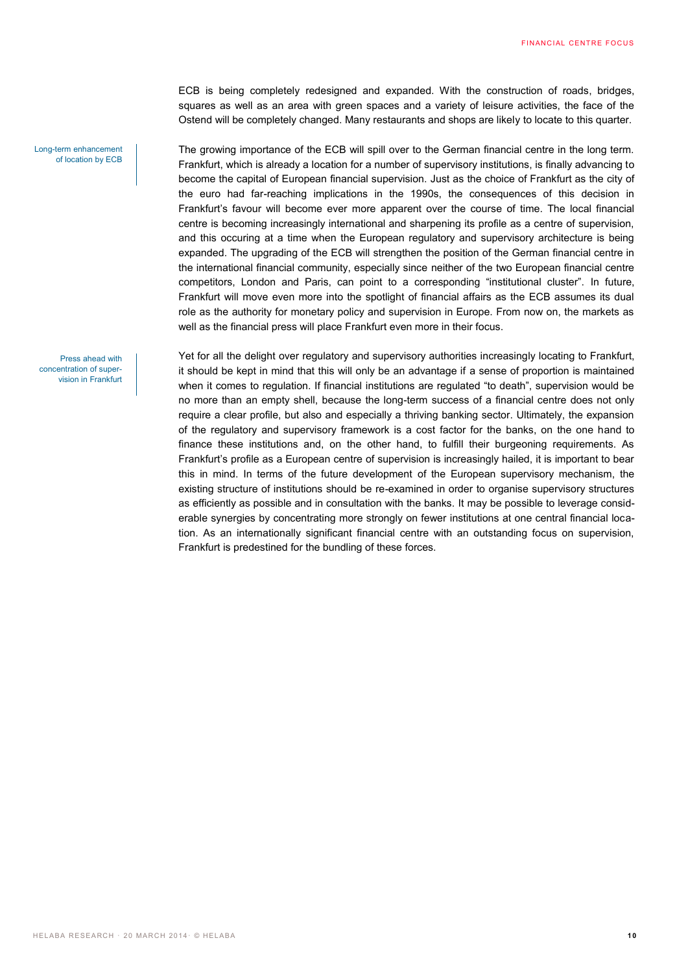ECB is being completely redesigned and expanded. With the construction of roads, bridges, squares as well as an area with green spaces and a variety of leisure activities, the face of the Ostend will be completely changed. Many restaurants and shops are likely to locate to this quarter.

Long-term enhancement of location by ECB

Press ahead with concentration of supervision in Frankfurt The growing importance of the ECB will spill over to the German financial centre in the long term. Frankfurt, which is already a location for a number of supervisory institutions, is finally advancing to become the capital of European financial supervision. Just as the choice of Frankfurt as the city of the euro had far-reaching implications in the 1990s, the consequences of this decision in Frankfurt's favour will become ever more apparent over the course of time. The local financial centre is becoming increasingly international and sharpening its profile as a centre of supervision, and this occuring at a time when the European regulatory and supervisory architecture is being expanded. The upgrading of the ECB will strengthen the position of the German financial centre in the international financial community, especially since neither of the two European financial centre competitors, London and Paris, can point to a corresponding "institutional cluster". In future, Frankfurt will move even more into the spotlight of financial affairs as the ECB assumes its dual role as the authority for monetary policy and supervision in Europe. From now on, the markets as well as the financial press will place Frankfurt even more in their focus.

Yet for all the delight over regulatory and supervisory authorities increasingly locating to Frankfurt, it should be kept in mind that this will only be an advantage if a sense of proportion is maintained when it comes to regulation. If financial institutions are regulated "to death", supervision would be no more than an empty shell, because the long-term success of a financial centre does not only require a clear profile, but also and especially a thriving banking sector. Ultimately, the expansion of the regulatory and supervisory framework is a cost factor for the banks, on the one hand to finance these institutions and, on the other hand, to fulfill their burgeoning requirements. As Frankfurt's profile as a European centre of supervision is increasingly hailed, it is important to bear this in mind. In terms of the future development of the European supervisory mechanism, the existing structure of institutions should be re-examined in order to organise supervisory structures as efficiently as possible and in consultation with the banks. It may be possible to leverage considerable synergies by concentrating more strongly on fewer institutions at one central financial location. As an internationally significant financial centre with an outstanding focus on supervision, Frankfurt is predestined for the bundling of these forces.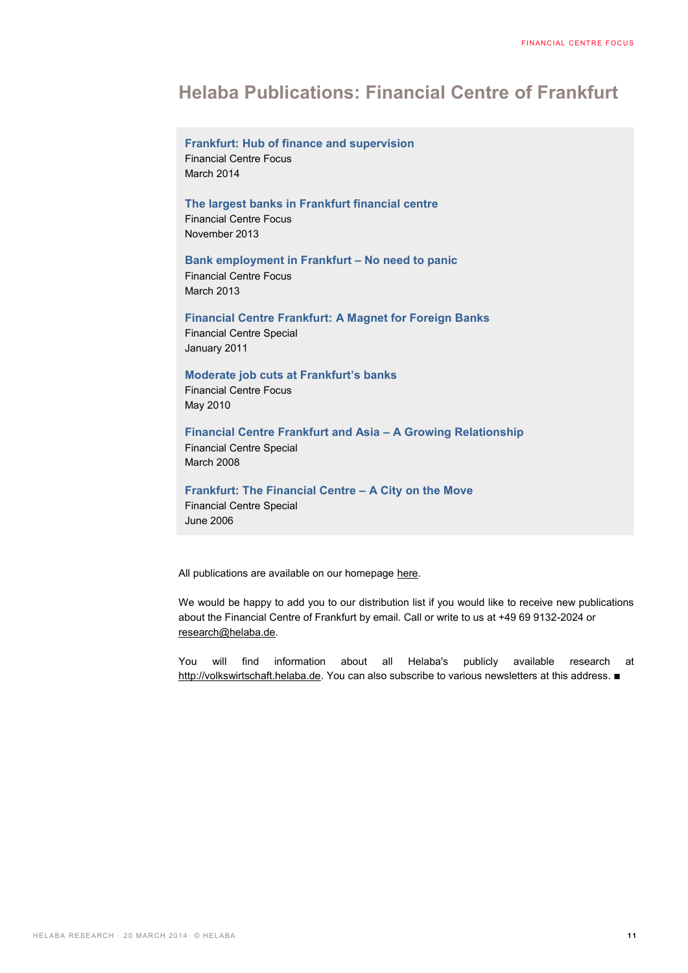# **Helaba Publications: Financial Centre of Frankfurt**

# **Frankfurt: Hub of finance and supervision** Financial Centre Focus March 2014

### **The largest banks in Frankfurt financial centre**

Financial Centre Focus November 2013

# **Bank employment in Frankfurt – No need to panic**

Financial Centre Focus March 2013

## **Financial Centre Frankfurt: A Magnet for Foreign Banks**

Financial Centre Special January 2011

# **Moderate job cuts at Frankfurt's banks**

Financial Centre Focus May 2010

# **Financial Centre Frankfurt and Asia – A Growing Relationship**

Financial Centre Special March 2008

# **Frankfurt: The Financial Centre – A City on the Move**

Financial Centre Special June 2006

All publications are available on our homepage [here.](https://www.helaba.de/de/DieHelaba/MaerkteUndAnalysen/ResearchUndVolkswirtschaft/FinanzplatzFrankfurt/FinanzplatzFrankfurtArchiv.html)

We would be happy to add you to our distribution list if you would like to receive new publications about the Financial Centre of Frankfurt by email. Call or write to us at +49 69 9132-2024 or [research@helaba.de.](mailto:research@helaba.de)

You will find information about all Helaba's publicly available research at [http://volkswirtschaft.helaba.de.](http://volkswirtschaft.helaba.de/) You can also subscribe to various newsletters at this address.